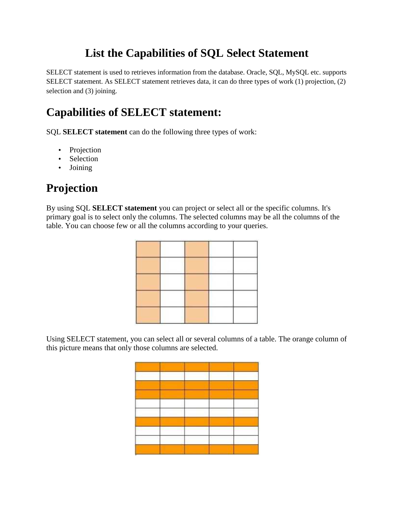### **List the Capabilities of SQL Select Statement**

SELECT statement is used to retrieves information from the database. Oracle, SQL, MySQL etc. supports SELECT statement. As SELECT statement retrieves data, it can do three types of work (1) projection, (2) selection and (3) joining.

#### **Capabilities of SELECT statement:**

SQL **SELECT statement** can do the following three types of work:

- Projection
- Selection
- Joining

## **Projection**

By using SQL **SELECT statement** you can project or select all or the specific columns. It's primary goal is to select only the columns. The selected columns may be all the columns of the table. You can choose few or all the columns according to your queries.



Using SELECT statement, you can select all or several columns of a table. The orange column of this picture means that only those columns are selected.